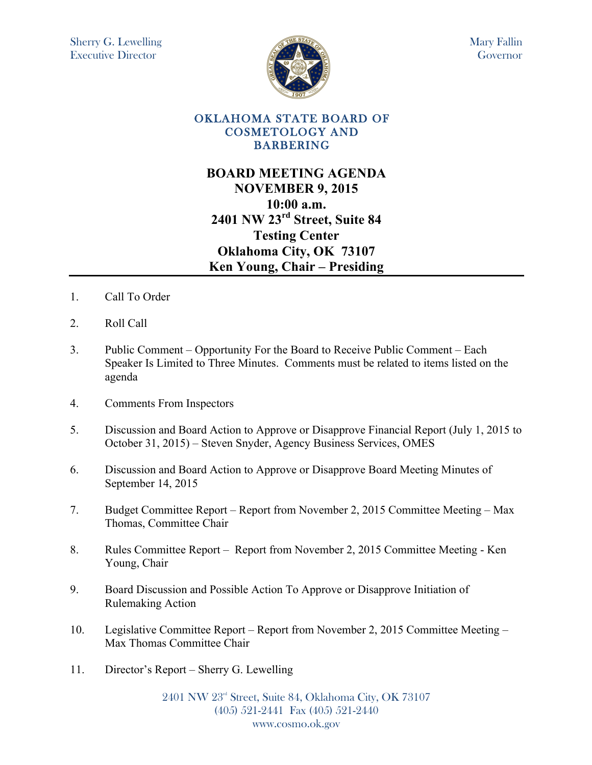

# **BOARD MEETING AGENDA NOVEMBER 9, 2015 10:00 a.m. 2401 NW 23rd Street, Suite 84 Testing Center Oklahoma City, OK 73107 Ken Young, Chair – Presiding**

- 1. Call To Order
- 2. Roll Call
- 3. Public Comment Opportunity For the Board to Receive Public Comment Each Speaker Is Limited to Three Minutes. Comments must be related to items listed on the agenda
- 4. Comments From Inspectors
- 5. Discussion and Board Action to Approve or Disapprove Financial Report (July 1, 2015 to October 31, 2015) – Steven Snyder, Agency Business Services, OMES
- 6. Discussion and Board Action to Approve or Disapprove Board Meeting Minutes of September 14, 2015
- 7. Budget Committee Report Report from November 2, 2015 Committee Meeting Max Thomas, Committee Chair
- 8. Rules Committee Report Report from November 2, 2015 Committee Meeting Ken Young, Chair
- 9. Board Discussion and Possible Action To Approve or Disapprove Initiation of Rulemaking Action
- 10. Legislative Committee Report Report from November 2, 2015 Committee Meeting Max Thomas Committee Chair
- 11. Director's Report Sherry G. Lewelling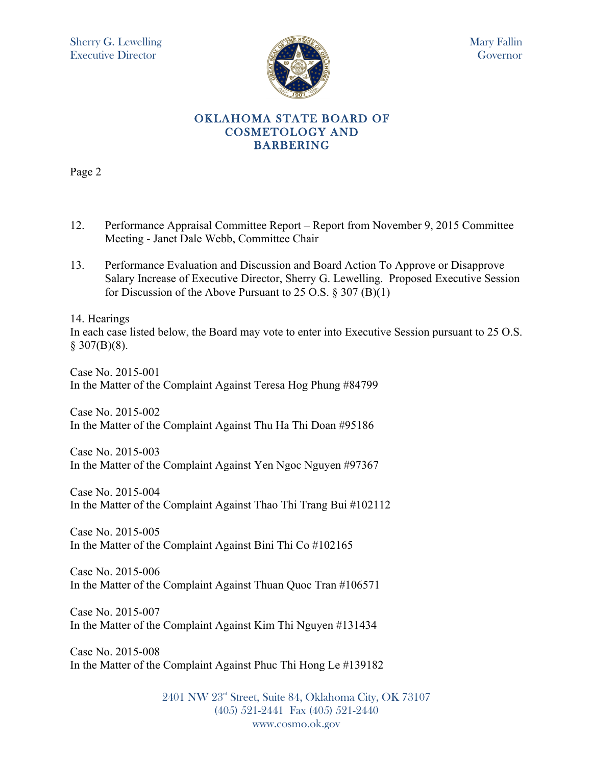

Page 2

- 12. Performance Appraisal Committee Report Report from November 9, 2015 Committee Meeting - Janet Dale Webb, Committee Chair
- 13. Performance Evaluation and Discussion and Board Action To Approve or Disapprove Salary Increase of Executive Director, Sherry G. Lewelling. Proposed Executive Session for Discussion of the Above Pursuant to 25 O.S.  $\S 307 (B)(1)$

14. Hearings

In each case listed below, the Board may vote to enter into Executive Session pursuant to 25 O.S.  $§ 307(B)(8).$ 

Case No. 2015-001 In the Matter of the Complaint Against Teresa Hog Phung #84799

Case No. 2015-002 In the Matter of the Complaint Against Thu Ha Thi Doan #95186

Case No. 2015-003 In the Matter of the Complaint Against Yen Ngoc Nguyen #97367

Case No. 2015-004 In the Matter of the Complaint Against Thao Thi Trang Bui #102112

Case No. 2015-005 In the Matter of the Complaint Against Bini Thi Co #102165

Case No. 2015-006 In the Matter of the Complaint Against Thuan Quoc Tran #106571

Case No. 2015-007 In the Matter of the Complaint Against Kim Thi Nguyen #131434

Case No. 2015-008 In the Matter of the Complaint Against Phuc Thi Hong Le #139182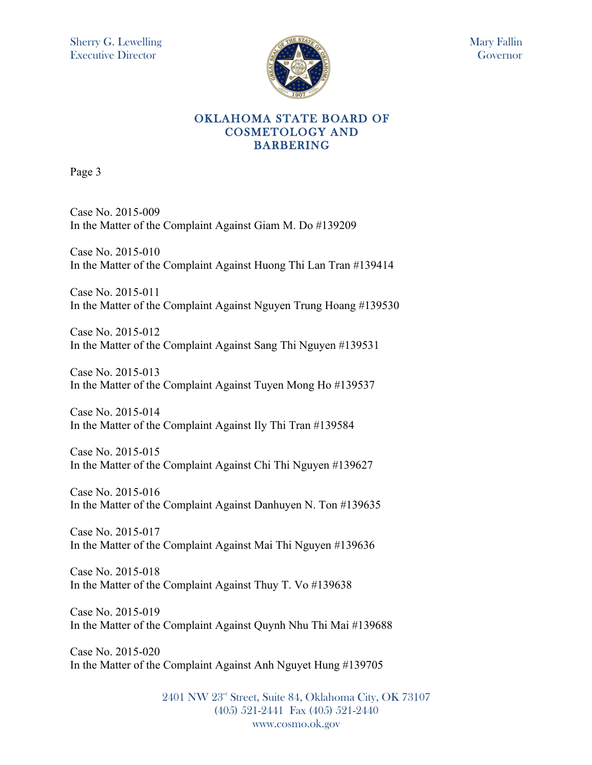

Page 3

Case No. 2015-009 In the Matter of the Complaint Against Giam M. Do #139209

Case No. 2015-010 In the Matter of the Complaint Against Huong Thi Lan Tran #139414

Case No. 2015-011 In the Matter of the Complaint Against Nguyen Trung Hoang #139530

Case No. 2015-012 In the Matter of the Complaint Against Sang Thi Nguyen #139531

Case No. 2015-013 In the Matter of the Complaint Against Tuyen Mong Ho #139537

Case No. 2015-014 In the Matter of the Complaint Against Ily Thi Tran #139584

Case No. 2015-015 In the Matter of the Complaint Against Chi Thi Nguyen #139627

Case No. 2015-016 In the Matter of the Complaint Against Danhuyen N. Ton #139635

Case No. 2015-017 In the Matter of the Complaint Against Mai Thi Nguyen #139636

Case No. 2015-018 In the Matter of the Complaint Against Thuy T. Vo #139638

Case No. 2015-019 In the Matter of the Complaint Against Quynh Nhu Thi Mai #139688

Case No. 2015-020 In the Matter of the Complaint Against Anh Nguyet Hung #139705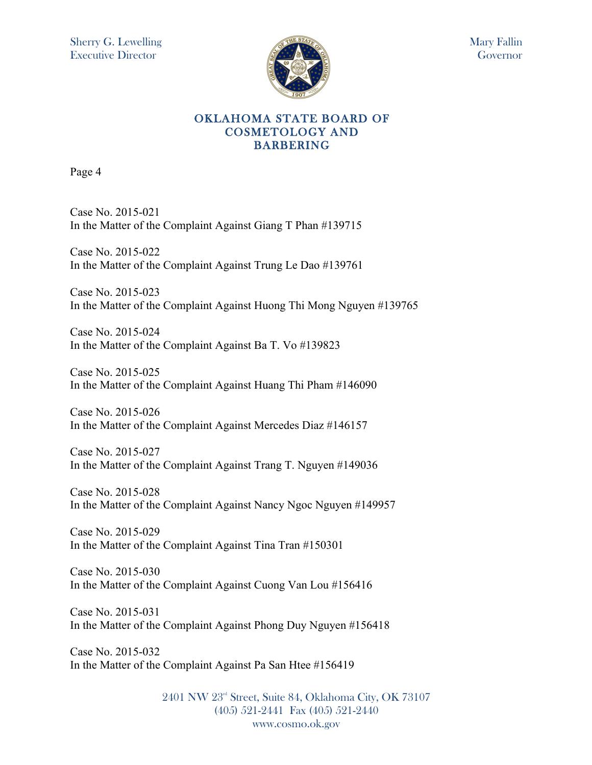

Page 4

Case No. 2015-021 In the Matter of the Complaint Against Giang T Phan #139715

Case No. 2015-022 In the Matter of the Complaint Against Trung Le Dao #139761

Case No. 2015-023 In the Matter of the Complaint Against Huong Thi Mong Nguyen #139765

Case No. 2015-024 In the Matter of the Complaint Against Ba T. Vo #139823

Case No. 2015-025 In the Matter of the Complaint Against Huang Thi Pham #146090

Case No. 2015-026 In the Matter of the Complaint Against Mercedes Diaz #146157

Case No. 2015-027 In the Matter of the Complaint Against Trang T. Nguyen #149036

Case No. 2015-028 In the Matter of the Complaint Against Nancy Ngoc Nguyen #149957

Case No. 2015-029 In the Matter of the Complaint Against Tina Tran #150301

Case No. 2015-030 In the Matter of the Complaint Against Cuong Van Lou #156416

Case No. 2015-031 In the Matter of the Complaint Against Phong Duy Nguyen #156418

Case No. 2015-032 In the Matter of the Complaint Against Pa San Htee #156419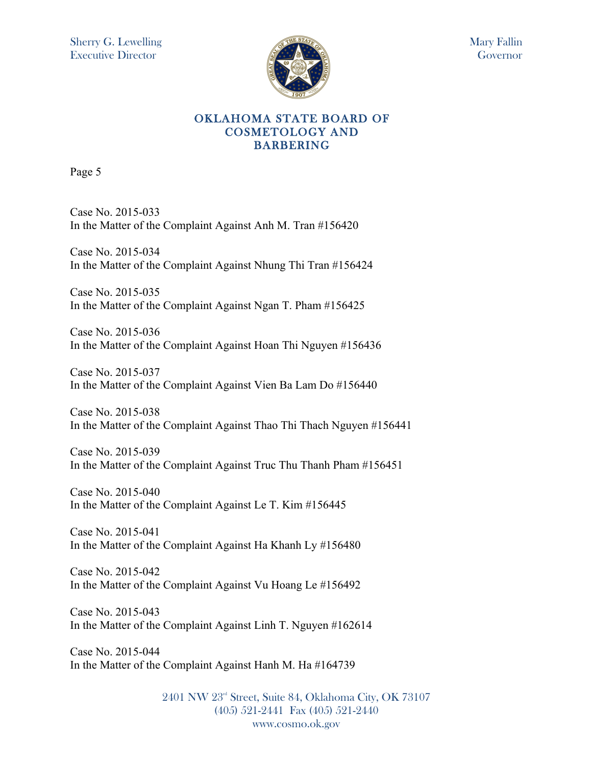

Page 5

Case No. 2015-033 In the Matter of the Complaint Against Anh M. Tran #156420

Case No. 2015-034 In the Matter of the Complaint Against Nhung Thi Tran #156424

Case No. 2015-035 In the Matter of the Complaint Against Ngan T. Pham #156425

Case No. 2015-036 In the Matter of the Complaint Against Hoan Thi Nguyen #156436

Case No. 2015-037 In the Matter of the Complaint Against Vien Ba Lam Do #156440

Case No. 2015-038 In the Matter of the Complaint Against Thao Thi Thach Nguyen #156441

Case No. 2015-039 In the Matter of the Complaint Against Truc Thu Thanh Pham #156451

Case No. 2015-040 In the Matter of the Complaint Against Le T. Kim #156445

Case No. 2015-041 In the Matter of the Complaint Against Ha Khanh Ly #156480

Case No. 2015-042 In the Matter of the Complaint Against Vu Hoang Le #156492

Case No. 2015-043 In the Matter of the Complaint Against Linh T. Nguyen #162614

Case No. 2015-044 In the Matter of the Complaint Against Hanh M. Ha #164739